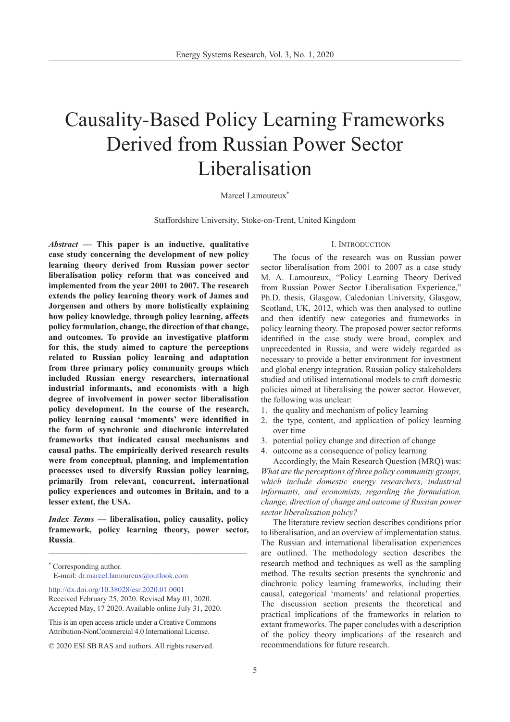# Causality-Based Policy Learning Frameworks Derived from Russian Power Sector Liberalisation

## Marcel Lamoureux<sup>\*</sup>

Staffordshire University, Stoke-on-Trent, United Kingdom

*Abstract* **— This paper is an inductive, qualitative case study concerning the development of new policy learning theory derived from Russian power sector liberalisation policy reform that was conceived and implemented from the year 2001 to 2007. The research extends the policy learning theory work of James and Jorgensen and others by more holistically explaining how policy knowledge, through policy learning, affects policy formulation, change, the direction of that change, and outcomes. To provide an investigative platform for this, the study aimed to capture the perceptions related to Russian policy learning and adaptation from three primary policy community groups which included Russian energy researchers, international industrial informants, and economists with a high degree of involvement in power sector liberalisation policy development. In the course of the research, policy learning causal 'moments' were identified in the form of synchronic and diachronic interrelated frameworks that indicated causal mechanisms and causal paths. The empirically derived research results were from conceptual, planning, and implementation processes used to diversify Russian policy learning, primarily from relevant, concurrent, international policy experiences and outcomes in Britain, and to a lesser extent, the USA.** 

*Index Terms* **— liberalisation, policy causality, policy framework, policy learning theory, power sector, Russia**.

\_\_\_\_\_\_\_\_\_\_\_\_\_\_\_\_\_\_\_\_\_\_\_\_\_\_\_\_\_\_\_\_\_\_\_\_\_\_\_\_\_\_\_\_\_\_\_\_\_\_\_

[http://dx.doi.org/10.38028/esr.2020.01.000](http://dx.doi.org/10.38028/esr.2020.01.0001 )1 Received February 25, 2020. Revised May 01, 2020. Accepted May, 17 2020. Available online July 31, 2020.

This is an open access article under a Creative Commons Attribution-NonCommercial 4.0 International License.

#### I. Introduction

The focus of the research was on Russian power sector liberalisation from 2001 to 2007 as a case study M. A. Lamoureux, "Policy Learning Theory Derived from Russian Power Sector Liberalisation Experience," Ph.D. thesis, Glasgow, Caledonian University, Glasgow, Scotland, UK, 2012, which was then analysed to outline and then identify new categories and frameworks in policy learning theory. The proposed power sector reforms identified in the case study were broad, complex and unprecedented in Russia, and were widely regarded as necessary to provide a better environment for investment and global energy integration. Russian policy stakeholders studied and utilised international models to craft domestic policies aimed at liberalising the power sector. However, the following was unclear:

- 1. the quality and mechanism of policy learning
- 2. the type, content, and application of policy learning over time
- 3. potential policy change and direction of change
- 4. outcome as a consequence of policy learning

Accordingly, the Main Research Question (MRQ) was: *What are the perceptions of three policy community groups, which include domestic energy researchers, industrial informants, and economists, regarding the formulation, change, direction of change and outcome of Russian power sector liberalisation policy?*

The literature review section describes conditions prior to liberalisation, and an overview of implementation status. The Russian and international liberalisation experiences are outlined. The methodology section describes the research method and techniques as well as the sampling method. The results section presents the synchronic and diachronic policy learning frameworks, including their causal, categorical 'moments' and relational properties. The discussion section presents the theoretical and practical implications of the frameworks in relation to extant frameworks. The paper concludes with a description of the policy theory implications of the research and recommendations for future research.

<sup>\*</sup> Corresponding author. E-mail: dr.marcel.lamoureux@outlook.com

<sup>© 2020</sup> ESI SB RAS and authors. All rights reserved.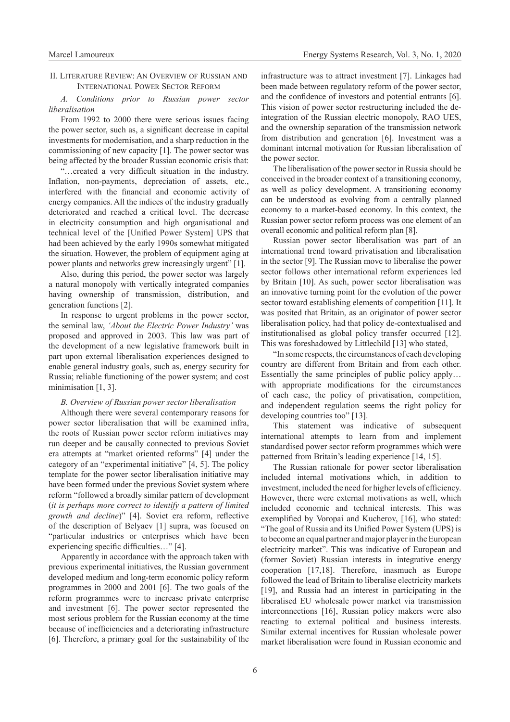## II. Literature Review: An Overview of Russian and International Power Sector Reform

*A. Conditions prior to Russian power sector liberalisation*

From 1992 to 2000 there were serious issues facing the power sector, such as, a significant decrease in capital investments for modernisation, and a sharp reduction in the commissioning of new capacity [1]. The power sector was being affected by the broader Russian economic crisis that:

"…created a very difficult situation in the industry. Inflation, non-payments, depreciation of assets, etc., interfered with the financial and economic activity of energy companies. All the indices of the industry gradually deteriorated and reached a critical level. The decrease in electricity consumption and high organisational and technical level of the [Unified Power System] UPS that had been achieved by the early 1990s somewhat mitigated the situation. However, the problem of equipment aging at power plants and networks grew increasingly urgent" [1].

Also, during this period, the power sector was largely a natural monopoly with vertically integrated companies having ownership of transmission, distribution, and generation functions [2].

In response to urgent problems in the power sector, the seminal law, *'About the Electric Power Industry'* was proposed and approved in 2003. This law was part of the development of a new legislative framework built in part upon external liberalisation experiences designed to enable general industry goals, such as, energy security for Russia; reliable functioning of the power system; and cost minimisation [1, 3].

## *B. Overview of Russian power sector liberalisation*

Although there were several contemporary reasons for power sector liberalisation that will be examined infra, the roots of Russian power sector reform initiatives may run deeper and be causally connected to previous Soviet era attempts at "market oriented reforms" [4] under the category of an "experimental initiative" [4, 5]. The policy template for the power sector liberalisation initiative may have been formed under the previous Soviet system where reform "followed a broadly similar pattern of development (*it is perhaps more correct to identify a pattern of limited growth and decline*)" [4]. Soviet era reform, reflective of the description of Belyaev [1] supra, was focused on "particular industries or enterprises which have been experiencing specific difficulties…" [4].

Apparently in accordance with the approach taken with previous experimental initiatives, the Russian government developed medium and long-term economic policy reform programmes in 2000 and 2001 [6]. The two goals of the reform programmes were to increase private enterprise and investment [6]. The power sector represented the most serious problem for the Russian economy at the time because of inefficiencies and a deteriorating infrastructure [6]. Therefore, a primary goal for the sustainability of the

infrastructure was to attract investment [7]. Linkages had been made between regulatory reform of the power sector, and the confidence of investors and potential entrants [6]. This vision of power sector restructuring included the deintegration of the Russian electric monopoly, RAO UES, and the ownership separation of the transmission network from distribution and generation [6]. Investment was a dominant internal motivation for Russian liberalisation of the power sector.

The liberalisation of the power sector in Russia should be conceived in the broader context of a transitioning economy, as well as policy development. A transitioning economy can be understood as evolving from a centrally planned economy to a market-based economy. In this context, the Russian power sector reform process was one element of an overall economic and political reform plan [8].

Russian power sector liberalisation was part of an international trend toward privatisation and liberalisation in the sector [9]. The Russian move to liberalise the power sector follows other international reform experiences led by Britain [10]. As such, power sector liberalisation was an innovative turning point for the evolution of the power sector toward establishing elements of competition [11]. It was posited that Britain, as an originator of power sector liberalisation policy, had that policy de-contextualised and institutionalised as global policy transfer occurred [12]. This was foreshadowed by Littlechild [13] who stated,

"In some respects, the circumstances of each developing country are different from Britain and from each other. Essentially the same principles of public policy apply… with appropriate modifications for the circumstances of each case, the policy of privatisation, competition, and independent regulation seems the right policy for developing countries too" [13].

This statement was indicative of subsequent international attempts to learn from and implement standardised power sector reform programmes which were patterned from Britain's leading experience [14, 15].

The Russian rationale for power sector liberalisation included internal motivations which, in addition to investment, included the need for higher levels of efficiency. However, there were external motivations as well, which included economic and technical interests. This was exemplified by Voropai and Kucherov, [16], who stated: "The goal of Russia and its Unified Power System (UPS) is to become an equal partner and major player in the European electricity market". This was indicative of European and (former Soviet) Russian interests in integrative energy cooperation [17,18]. Therefore, inasmuch as Europe followed the lead of Britain to liberalise electricity markets [19], and Russia had an interest in participating in the liberalised EU wholesale power market via transmission interconnections [16], Russian policy makers were also reacting to external political and business interests. Similar external incentives for Russian wholesale power market liberalisation were found in Russian economic and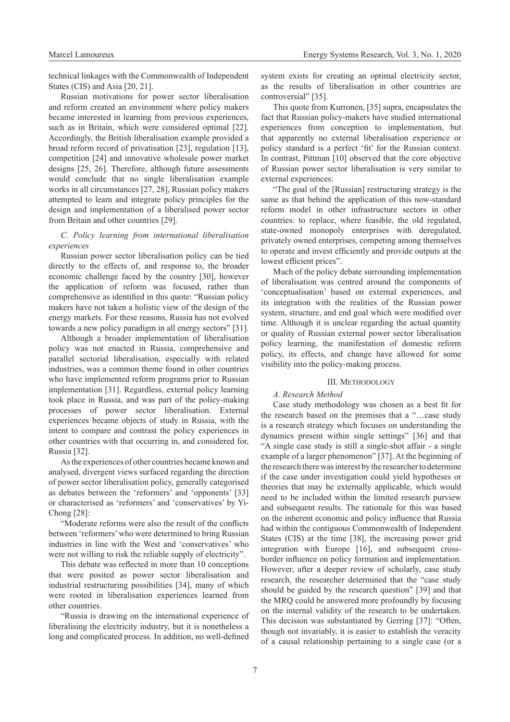technical linkages with the Commonwealth of Independent States (CIS) and Asia [20, 21].

Russian motivations for power sector liberalisation and reform created an environment where policy makers became interested in learning from previous experiences, such as in Britain, which were considered optimal [22]. Accordingly, the British liberalisation example provided a broad reform record of privatisation [23], regulation [13], competition [24] and innovative wholesale power market designs [25, 26]. Therefore, although future assessments would conclude that no single liberalisation example works in all circumstances [27, 28], Russian policy makers attempted to learn and integrate policy principles for the design and implementation of a liberalised power sector from Britain and other countries [29].

## *C. Policy learning from international liberalisation experiences*

Russian power sector liberalisation policy can be tied directly to the effects of, and response to, the broader economic challenge faced by the country [30], however the application of reform was focused, rather than comprehensive as identified in this quote: "Russian policy makers have not taken a holistic view of the design of the energy markets. For these reasons, Russia has not evolved towards a new policy paradigm in all energy sectors" [31].

Although a broader implementation of liberalisation policy was not enacted in Russia, comprehensive and parallel sectorial liberalisation, especially with related industries, was a common theme found in other countries who have implemented reform programs prior to Russian implementation [31]. Regardless, external policy learning took place in Russia, and was part of the policy-making processes of power sector liberalisation. External experiences became objects of study in Russia, with the intent to compare and contrast the policy experiences in other countries with that occurring in, and considered for, Russia [32].

As the experiences of other countries became known and analysed, divergent views surfaced regarding the direction of power sector liberalisation policy, generally categorised as debates between the 'reformers' and 'opponents' [33] or characterised as 'reformers' and 'conservatives' by Yi-Chong [28]:

"Moderate reforms were also the result of the conflicts between 'reformers' who were determined to bring Russian industries in line with the West and 'conservatives' who were not willing to risk the reliable supply of electricity".

This debate was reflected in more than 10 conceptions that were posited as power sector liberalisation and industrial restructuring possibilities [34], many of which were rooted in liberalisation experiences learned from other countries.

"Russia is drawing on the international experience of liberalising the electricity industry, but it is nonetheless a long and complicated process. In addition, no well-defined

system exists for creating an optimal electricity sector, as the results of liberalisation in other countries are controversial" [35].

This quote from Kurronen, [35] supra, encapsulates the fact that Russian policy-makers have studied international experiences from conception to implementation, but that apparently no external liberalisation experience or policy standard is a perfect 'fit' for the Russian context. In contrast, Pittman [10] observed that the core objective of Russian power sector liberalisation is very similar to external experiences:

"The goal of the [Russian] restructuring strategy is the same as that behind the application of this now-standard reform model in other infrastructure sectors in other countries: to replace, where feasible, the old regulated, state-owned monopoly enterprises with deregulated, privately owned enterprises, competing among themselves to operate and invest efficiently and provide outputs at the lowest efficient prices".

Much of the policy debate surrounding implementation of liberalisation was centred around the components of 'conceptualisation' based on external experiences, and its integration with the realities of the Russian power system, structure, and end goal which were modified over time. Although it is unclear regarding the actual quantity or quality of Russian external power sector liberalisation policy learning, the manifestation of domestic reform policy, its effects, and change have allowed for some visibility into the policy-making process.

#### III. Methodology

## *A. Research Method*

Case study methodology was chosen as a best fit for the research based on the premises that a "…case study is a research strategy which focuses on understanding the dynamics present within single settings" [36] and that "A single case study is still a single-shot affair - a single example of a larger phenomenon" [37]. At the beginning of the research there was interest by the researcher to determine if the case under investigation could yield hypotheses or theories that may be externally applicable, which would need to be included within the limited research purview and subsequent results. The rationale for this was based on the inherent economic and policy influence that Russia had within the contiguous Commonwealth of Independent States (CIS) at the time [38], the increasing power grid integration with Europe [16], and subsequent crossborder influence on policy formation and implementation. However, after a deeper review of scholarly, case study research, the researcher determined that the "case study should be guided by the research question" [39] and that the MRQ could be answered more profoundly by focusing on the internal validity of the research to be undertaken. This decision was substantiated by Gerring [37]: "Often, though not invariably, it is easier to establish the veracity of a causal relationship pertaining to a single case (or a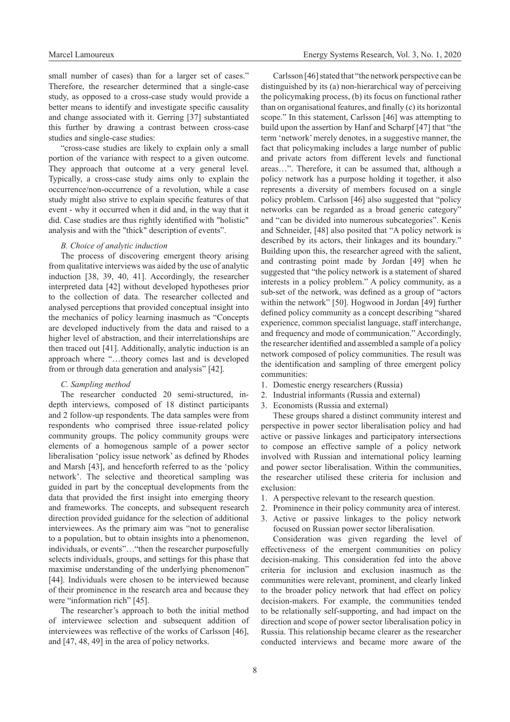small number of cases) than for a larger set of cases." Therefore, the researcher determined that a single-case study, as opposed to a cross-case study would provide a better means to identify and investigate specific causality and change associated with it. Gerring [37] substantiated this further by drawing a contrast between cross-case studies and single-case studies:

"cross-case studies are likely to explain only a small portion of the variance with respect to a given outcome. They approach that outcome at a very general level. Typically, a cross-case study aims only to explain the occurrence/non-occurrence of a revolution, while a case study might also strive to explain specific features of that event - why it occurred when it did and, in the way that it did. Case studies are thus rightly identified with "holistic" analysis and with the "thick" description of events".

## *B. Choice of analytic induction*

The process of discovering emergent theory arising from qualitative interviews was aided by the use of analytic induction [38, 39, 40, 41]. Accordingly, the researcher interpreted data [42] without developed hypotheses prior to the collection of data. The researcher collected and analysed perceptions that provided conceptual insight into the mechanics of policy learning inasmuch as "Concepts are developed inductively from the data and raised to a higher level of abstraction, and their interrelationships are then traced out [41]. Additionally, analytic induction is an approach where "…theory comes last and is developed from or through data generation and analysis" [42].

#### *C. Sampling method*

The researcher conducted 20 semi-structured, indepth interviews, composed of 18 distinct participants and 2 follow-up respondents. The data samples were from respondents who comprised three issue-related policy community groups. The policy community groups were elements of a homogenous sample of a power sector liberalisation 'policy issue network' as defined by Rhodes and Marsh [43], and henceforth referred to as the 'policy network'. The selective and theoretical sampling was guided in part by the conceptual developments from the data that provided the first insight into emerging theory and frameworks. The concepts, and subsequent research direction provided guidance for the selection of additional interviewees. As the primary aim was "not to generalise to a population, but to obtain insights into a phenomenon, individuals, or events"…"then the researcher purposefully selects individuals, groups, and settings for this phase that maximise understanding of the underlying phenomenon" [44]. Individuals were chosen to be interviewed because of their prominence in the research area and because they were "information rich" [45].

The researcher's approach to both the initial method of interviewee selection and subsequent addition of interviewees was reflective of the works of Carlsson [46], and [47, 48, 49] in the area of policy networks.

Carlsson [46] stated that "the network perspective can be distinguished by its (a) non-hierarchical way of perceiving the policymaking process, (b) its focus on functional rather than on organisational features, and finally (c) its horizontal scope." In this statement, Carlsson [46] was attempting to build upon the assertion by Hanf and Scharpf [47] that "the term 'network' merely denotes, in a suggestive manner, the fact that policymaking includes a large number of public and private actors from different levels and functional areas…". Therefore, it can be assumed that, although a policy network has a purpose holding it together, it also represents a diversity of members focused on a single policy problem. Carlsson [46] also suggested that "policy networks can be regarded as a broad generic category" and "can be divided into numerous subcategories". Kenis and Schneider, [48] also posited that "A policy network is described by its actors, their linkages and its boundary." Building upon this, the researcher agreed with the salient, and contrasting point made by Jordan [49] when he suggested that "the policy network is a statement of shared interests in a policy problem." A policy community, as a sub-set of the network, was defined as a group of "actors within the network" [50]. Hogwood in Jordan [49] further defined policy community as a concept describing "shared experience, common specialist language, staff interchange, and frequency and mode of communication." Accordingly, the researcher identified and assembled a sample of a policy network composed of policy communities. The result was the identification and sampling of three emergent policy communities:

- 1. Domestic energy researchers (Russia)
- 2. Industrial informants (Russia and external)
- 3. Economists (Russia and external)

These groups shared a distinct community interest and perspective in power sector liberalisation policy and had active or passive linkages and participatory intersections to compose an effective sample of a policy network involved with Russian and international policy learning and power sector liberalisation. Within the communities, the researcher utilised these criteria for inclusion and exclusion:

- 1. A perspective relevant to the research question.
- 2. Prominence in their policy community area of interest.
- 3. Active or passive linkages to the policy network focused on Russian power sector liberalisation.

Consideration was given regarding the level of effectiveness of the emergent communities on policy decision-making. This consideration fed into the above criteria for inclusion and exclusion inasmuch as the communities were relevant, prominent, and clearly linked to the broader policy network that had effect on policy decision-makers. For example, the communities tended to be relationally self-supporting, and had impact on the direction and scope of power sector liberalisation policy in Russia. This relationship became clearer as the researcher conducted interviews and became more aware of the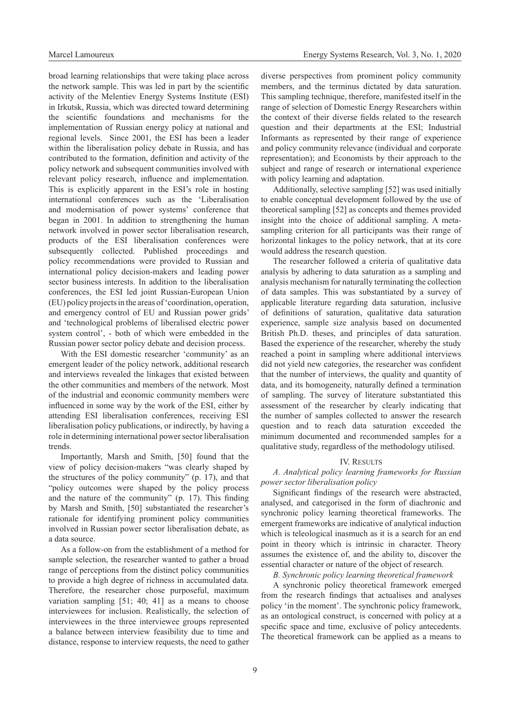broad learning relationships that were taking place across the network sample. This was led in part by the scientific activity of the Melentiev Energy Systems Institute (ESI) in Irkutsk, Russia, which was directed toward determining the scientific foundations and mechanisms for the implementation of Russian energy policy at national and regional levels. Since 2001, the ESI has been a leader within the liberalisation policy debate in Russia, and has contributed to the formation, definition and activity of the policy network and subsequent communities involved with relevant policy research, influence and implementation. This is explicitly apparent in the ESI's role in hosting international conferences such as the 'Liberalisation and modernisation of power systems' conference that began in 2001. In addition to strengthening the human network involved in power sector liberalisation research, products of the ESI liberalisation conferences were subsequently collected. Published proceedings and policy recommendations were provided to Russian and international policy decision-makers and leading power sector business interests. In addition to the liberalisation conferences, the ESI led joint Russian-European Union (EU) policy projects in the areas of 'coordination, operation, and emergency control of EU and Russian power grids' and 'technological problems of liberalised electric power system control', - both of which were embedded in the Russian power sector policy debate and decision process.

With the ESI domestic researcher 'community' as an emergent leader of the policy network, additional research and interviews revealed the linkages that existed between the other communities and members of the network. Most of the industrial and economic community members were influenced in some way by the work of the ESI, either by attending ESI liberalisation conferences, receiving ESI liberalisation policy publications, or indirectly, by having a role in determining international power sector liberalisation trends.

Importantly, Marsh and Smith, [50] found that the view of policy decision-makers "was clearly shaped by the structures of the policy community" (p. 17), and that "policy outcomes were shaped by the policy process and the nature of the community" (p. 17). This finding by Marsh and Smith, [50] substantiated the researcher's rationale for identifying prominent policy communities involved in Russian power sector liberalisation debate, as a data source.

As a follow-on from the establishment of a method for sample selection, the researcher wanted to gather a broad range of perceptions from the distinct policy communities to provide a high degree of richness in accumulated data. Therefore, the researcher chose purposeful, maximum variation sampling [51; 40; 41] as a means to choose interviewees for inclusion. Realistically, the selection of interviewees in the three interviewee groups represented a balance between interview feasibility due to time and distance, response to interview requests, the need to gather diverse perspectives from prominent policy community members, and the terminus dictated by data saturation. This sampling technique, therefore, manifested itself in the range of selection of Domestic Energy Researchers within the context of their diverse fields related to the research question and their departments at the ESI; Industrial Informants as represented by their range of experience and policy community relevance (individual and corporate representation); and Economists by their approach to the subject and range of research or international experience with policy learning and adaptation.

Additionally, selective sampling [52] was used initially to enable conceptual development followed by the use of theoretical sampling [52] as concepts and themes provided insight into the choice of additional sampling. A metasampling criterion for all participants was their range of horizontal linkages to the policy network, that at its core would address the research question.

The researcher followed a criteria of qualitative data analysis by adhering to data saturation as a sampling and analysis mechanism for naturally terminating the collection of data samples. This was substantiated by a survey of applicable literature regarding data saturation, inclusive of definitions of saturation, qualitative data saturation experience, sample size analysis based on documented British Ph.D. theses, and principles of data saturation. Based the experience of the researcher, whereby the study reached a point in sampling where additional interviews did not yield new categories, the researcher was confident that the number of interviews, the quality and quantity of data, and its homogeneity, naturally defined a termination of sampling. The survey of literature substantiated this assessment of the researcher by clearly indicating that the number of samples collected to answer the research question and to reach data saturation exceeded the minimum documented and recommended samples for a qualitative study, regardless of the methodology utilised.

#### IV. Results

# *A. Analytical policy learning frameworks for Russian power sector liberalisation policy*

Significant findings of the research were abstracted, analysed, and categorised in the form of diachronic and synchronic policy learning theoretical frameworks. The emergent frameworks are indicative of analytical induction which is teleological inasmuch as it is a search for an end point in theory which is intrinsic in character. Theory assumes the existence of, and the ability to, discover the essential character or nature of the object of research.

*B. Synchronic policy learning theoretical framework*

A synchronic policy theoretical framework emerged from the research findings that actualises and analyses policy 'in the moment'. The synchronic policy framework, as an ontological construct, is concerned with policy at a specific space and time, exclusive of policy antecedents. The theoretical framework can be applied as a means to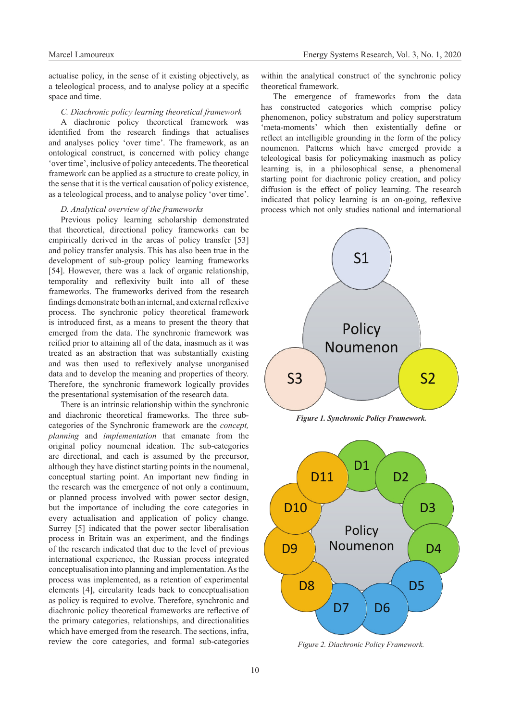actualise policy, in the sense of it existing objectively, as a teleological process, and to analyse policy at a specific space and time.

# *C. Diachronic policy learning theoretical framework*

A diachronic policy theoretical framework was identified from the research findings that actualises and analyses policy 'over time'. The framework, as an ontological construct, is concerned with policy change 'over time', inclusive of policy antecedents. The theoretical framework can be applied as a structure to create policy, in the sense that it is the vertical causation of policy existence, as a teleological process, and to analyse policy 'over time'.

## *D. Analytical overview of the frameworks*

Previous policy learning scholarship demonstrated that theoretical, directional policy frameworks can be empirically derived in the areas of policy transfer [53] and policy transfer analysis. This has also been true in the development of sub-group policy learning frameworks [54]. However, there was a lack of organic relationship, temporality and reflexivity built into all of these frameworks. The frameworks derived from the research findings demonstrate both an internal, and external reflexive process. The synchronic policy theoretical framework is introduced first, as a means to present the theory that emerged from the data. The synchronic framework was reified prior to attaining all of the data, inasmuch as it was treated as an abstraction that was substantially existing and was then used to reflexively analyse unorganised data and to develop the meaning and properties of theory. Therefore, the synchronic framework logically provides the presentational systemisation of the research data.

There is an intrinsic relationship within the synchronic and diachronic theoretical frameworks. The three subcategories of the Synchronic framework are the *concept, planning* and *implementation* that emanate from the original policy noumenal ideation. The sub-categories are directional, and each is assumed by the precursor, although they have distinct starting points in the noumenal, conceptual starting point. An important new finding in the research was the emergence of not only a continuum, or planned process involved with power sector design, but the importance of including the core categories in every actualisation and application of policy change. Surrey [5] indicated that the power sector liberalisation process in Britain was an experiment, and the findings of the research indicated that due to the level of previous international experience, the Russian process integrated conceptualisation into planning and implementation. As the process was implemented, as a retention of experimental elements [4], circularity leads back to conceptualisation as policy is required to evolve. Therefore, synchronic and diachronic policy theoretical frameworks are reflective of the primary categories, relationships, and directionalities which have emerged from the research. The sections, infra, review the core categories, and formal sub-categories

within the analytical construct of the synchronic policy theoretical framework.

The emergence of frameworks from the data has constructed categories which comprise policy phenomenon, policy substratum and policy superstratum 'meta-moments' which then existentially define or reflect an intelligible grounding in the form of the policy noumenon. Patterns which have emerged provide a teleological basis for policymaking inasmuch as policy learning is, in a philosophical sense, a phenomenal starting point for diachronic policy creation, and policy diffusion is the effect of policy learning. The research indicated that policy learning is an on-going, reflexive process which not only studies national and international



*Figure 2. Diachronic Policy Framework.*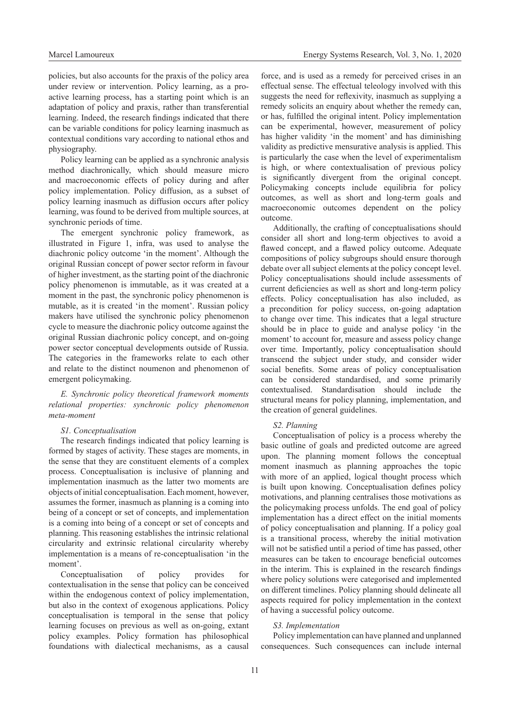policies, but also accounts for the praxis of the policy area under review or intervention. Policy learning, as a proactive learning process, has a starting point which is an adaptation of policy and praxis, rather than transferential learning. Indeed, the research findings indicated that there can be variable conditions for policy learning inasmuch as contextual conditions vary according to national ethos and physiography.

Policy learning can be applied as a synchronic analysis method diachronically, which should measure micro and macroeconomic effects of policy during and after policy implementation. Policy diffusion, as a subset of policy learning inasmuch as diffusion occurs after policy learning, was found to be derived from multiple sources, at synchronic periods of time.

The emergent synchronic policy framework, as illustrated in Figure 1, infra, was used to analyse the diachronic policy outcome 'in the moment'. Although the original Russian concept of power sector reform in favour of higher investment, as the starting point of the diachronic policy phenomenon is immutable, as it was created at a moment in the past, the synchronic policy phenomenon is mutable, as it is created 'in the moment'. Russian policy makers have utilised the synchronic policy phenomenon cycle to measure the diachronic policy outcome against the original Russian diachronic policy concept, and on-going power sector conceptual developments outside of Russia. The categories in the frameworks relate to each other and relate to the distinct noumenon and phenomenon of emergent policymaking.

*E. Synchronic policy theoretical framework moments relational properties: synchronic policy phenomenon meta-moment*

#### *S1. Conceptualisation*

The research findings indicated that policy learning is formed by stages of activity. These stages are moments, in the sense that they are constituent elements of a complex process. Conceptualisation is inclusive of planning and implementation inasmuch as the latter two moments are objects of initial conceptualisation. Each moment, however, assumes the former, inasmuch as planning is a coming into being of a concept or set of concepts, and implementation is a coming into being of a concept or set of concepts and planning. This reasoning establishes the intrinsic relational circularity and extrinsic relational circularity whereby implementation is a means of re-conceptualisation 'in the moment'.

Conceptualisation of policy provides for contextualisation in the sense that policy can be conceived within the endogenous context of policy implementation, but also in the context of exogenous applications. Policy conceptualisation is temporal in the sense that policy learning focuses on previous as well as on-going, extant policy examples. Policy formation has philosophical foundations with dialectical mechanisms, as a causal

force, and is used as a remedy for perceived crises in an effectual sense. The effectual teleology involved with this suggests the need for reflexivity, inasmuch as supplying a remedy solicits an enquiry about whether the remedy can, or has, fulfilled the original intent. Policy implementation can be experimental, however, measurement of policy has higher validity 'in the moment' and has diminishing validity as predictive mensurative analysis is applied. This is particularly the case when the level of experimentalism is high, or where contextualisation of previous policy is significantly divergent from the original concept. Policymaking concepts include equilibria for policy outcomes, as well as short and long-term goals and macroeconomic outcomes dependent on the policy outcome.

Additionally, the crafting of conceptualisations should consider all short and long-term objectives to avoid a flawed concept, and a flawed policy outcome. Adequate compositions of policy subgroups should ensure thorough debate over all subject elements at the policy concept level. Policy conceptualisations should include assessments of current deficiencies as well as short and long-term policy effects. Policy conceptualisation has also included, as a precondition for policy success, on-going adaptation to change over time. This indicates that a legal structure should be in place to guide and analyse policy 'in the moment' to account for, measure and assess policy change over time. Importantly, policy conceptualisation should transcend the subject under study, and consider wider social benefits. Some areas of policy conceptualisation can be considered standardised, and some primarily contextualised. Standardisation should include the structural means for policy planning, implementation, and the creation of general guidelines.

## *S2. Planning*

Conceptualisation of policy is a process whereby the basic outline of goals and predicted outcome are agreed upon. The planning moment follows the conceptual moment inasmuch as planning approaches the topic with more of an applied, logical thought process which is built upon knowing. Conceptualisation defines policy motivations, and planning centralises those motivations as the policymaking process unfolds. The end goal of policy implementation has a direct effect on the initial moments of policy conceptualisation and planning. If a policy goal is a transitional process, whereby the initial motivation will not be satisfied until a period of time has passed, other measures can be taken to encourage beneficial outcomes in the interim. This is explained in the research findings where policy solutions were categorised and implemented on different timelines. Policy planning should delineate all aspects required for policy implementation in the context of having a successful policy outcome.

## *S3. Implementation*

Policy implementation can have planned and unplanned consequences. Such consequences can include internal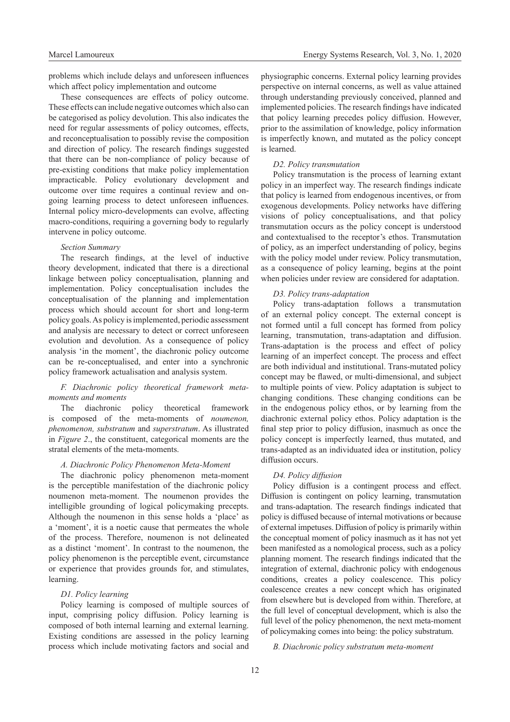problems which include delays and unforeseen influences which affect policy implementation and outcome

These consequences are effects of policy outcome. These effects can include negative outcomes which also can be categorised as policy devolution. This also indicates the need for regular assessments of policy outcomes, effects, and reconceptualisation to possibly revise the composition and direction of policy. The research findings suggested that there can be non-compliance of policy because of pre-existing conditions that make policy implementation impracticable. Policy evolutionary development and outcome over time requires a continual review and ongoing learning process to detect unforeseen influences. Internal policy micro-developments can evolve, affecting macro-conditions, requiring a governing body to regularly intervene in policy outcome.

## *Section Summary*

The research findings, at the level of inductive theory development, indicated that there is a directional linkage between policy conceptualisation, planning and implementation. Policy conceptualisation includes the conceptualisation of the planning and implementation process which should account for short and long-term policy goals. As policy is implemented, periodic assessment and analysis are necessary to detect or correct unforeseen evolution and devolution. As a consequence of policy analysis 'in the moment', the diachronic policy outcome can be re-conceptualised, and enter into a synchronic policy framework actualisation and analysis system.

# *F. Diachronic policy theoretical framework metamoments and moments*

The diachronic policy theoretical framework is composed of the meta-moments of *noumenon, phenomenon, substratum* and *superstratum*. As illustrated in *Figure 2*., the constituent, categorical moments are the stratal elements of the meta-moments.

## *A. Diachronic Policy Phenomenon Meta-Moment*

The diachronic policy phenomenon meta-moment is the perceptible manifestation of the diachronic policy noumenon meta-moment. The noumenon provides the intelligible grounding of logical policymaking precepts. Although the noumenon in this sense holds a 'place' as a 'moment', it is a noetic cause that permeates the whole of the process. Therefore, noumenon is not delineated as a distinct 'moment'. In contrast to the noumenon, the policy phenomenon is the perceptible event, circumstance or experience that provides grounds for, and stimulates, learning.

# *D1. Policy learning*

Policy learning is composed of multiple sources of input, comprising policy diffusion. Policy learning is composed of both internal learning and external learning. Existing conditions are assessed in the policy learning process which include motivating factors and social and physiographic concerns. External policy learning provides perspective on internal concerns, as well as value attained through understanding previously conceived, planned and implemented policies. The research findings have indicated that policy learning precedes policy diffusion. However, prior to the assimilation of knowledge, policy information is imperfectly known, and mutated as the policy concept is learned.

# *D2. Policy transmutation*

Policy transmutation is the process of learning extant policy in an imperfect way. The research findings indicate that policy is learned from endogenous incentives, or from exogenous developments. Policy networks have differing visions of policy conceptualisations, and that policy transmutation occurs as the policy concept is understood and contextualised to the receptor's ethos. Transmutation of policy, as an imperfect understanding of policy, begins with the policy model under review. Policy transmutation, as a consequence of policy learning, begins at the point when policies under review are considered for adaptation.

## *D3. Policy trans-adaptation*

Policy trans-adaptation follows a transmutation of an external policy concept. The external concept is not formed until a full concept has formed from policy learning, transmutation, trans-adaptation and diffusion. Trans-adaptation is the process and effect of policy learning of an imperfect concept. The process and effect are both individual and institutional. Trans-mutated policy concept may be flawed, or multi-dimensional, and subject to multiple points of view. Policy adaptation is subject to changing conditions. These changing conditions can be in the endogenous policy ethos, or by learning from the diachronic external policy ethos. Policy adaptation is the final step prior to policy diffusion, inasmuch as once the policy concept is imperfectly learned, thus mutated, and trans-adapted as an individuated idea or institution, policy diffusion occurs.

## *D4. Policy diffusion*

Policy diffusion is a contingent process and effect. Diffusion is contingent on policy learning, transmutation and trans-adaptation. The research findings indicated that policy is diffused because of internal motivations or because of external impetuses. Diffusion of policy is primarily within the conceptual moment of policy inasmuch as it has not yet been manifested as a nomological process, such as a policy planning moment. The research findings indicated that the integration of external, diachronic policy with endogenous conditions, creates a policy coalescence. This policy coalescence creates a new concept which has originated from elsewhere but is developed from within. Therefore, at the full level of conceptual development, which is also the full level of the policy phenomenon, the next meta-moment of policymaking comes into being: the policy substratum.

## *B. Diachronic policy substratum meta-moment*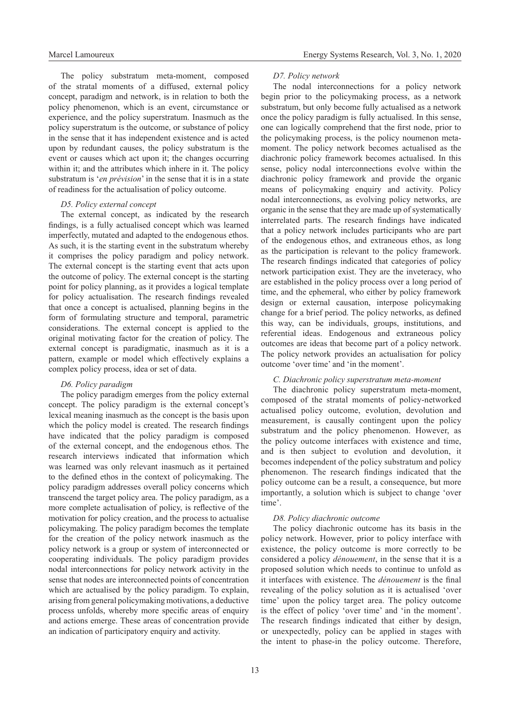The policy substratum meta-moment, composed of the stratal moments of a diffused, external policy concept, paradigm and network, is in relation to both the policy phenomenon, which is an event, circumstance or experience, and the policy superstratum. Inasmuch as the policy superstratum is the outcome, or substance of policy in the sense that it has independent existence and is acted upon by redundant causes, the policy substratum is the event or causes which act upon it; the changes occurring within it; and the attributes which inhere in it. The policy substratum is '*en prévision*' in the sense that it is in a state of readiness for the actualisation of policy outcome.

#### *D5. Policy external concept*

The external concept, as indicated by the research findings, is a fully actualised concept which was learned imperfectly, mutated and adapted to the endogenous ethos. As such, it is the starting event in the substratum whereby it comprises the policy paradigm and policy network. The external concept is the starting event that acts upon the outcome of policy. The external concept is the starting point for policy planning, as it provides a logical template for policy actualisation. The research findings revealed that once a concept is actualised, planning begins in the form of formulating structure and temporal, parametric considerations. The external concept is applied to the original motivating factor for the creation of policy. The external concept is paradigmatic, inasmuch as it is a pattern, example or model which effectively explains a complex policy process, idea or set of data.

#### *D6. Policy paradigm*

The policy paradigm emerges from the policy external concept. The policy paradigm is the external concept's lexical meaning inasmuch as the concept is the basis upon which the policy model is created. The research findings have indicated that the policy paradigm is composed of the external concept, and the endogenous ethos. The research interviews indicated that information which was learned was only relevant inasmuch as it pertained to the defined ethos in the context of policymaking. The policy paradigm addresses overall policy concerns which transcend the target policy area. The policy paradigm, as a more complete actualisation of policy, is reflective of the motivation for policy creation, and the process to actualise policymaking. The policy paradigm becomes the template for the creation of the policy network inasmuch as the policy network is a group or system of interconnected or cooperating individuals. The policy paradigm provides nodal interconnections for policy network activity in the sense that nodes are interconnected points of concentration which are actualised by the policy paradigm. To explain, arising from general policymaking motivations, a deductive process unfolds, whereby more specific areas of enquiry and actions emerge. These areas of concentration provide an indication of participatory enquiry and activity.

#### *D7. Policy network*

The nodal interconnections for a policy network begin prior to the policymaking process, as a network substratum, but only become fully actualised as a network once the policy paradigm is fully actualised. In this sense, one can logically comprehend that the first node, prior to the policymaking process, is the policy noumenon metamoment. The policy network becomes actualised as the diachronic policy framework becomes actualised. In this sense, policy nodal interconnections evolve within the diachronic policy framework and provide the organic means of policymaking enquiry and activity. Policy nodal interconnections, as evolving policy networks, are organic in the sense that they are made up of systematically interrelated parts. The research findings have indicated that a policy network includes participants who are part of the endogenous ethos, and extraneous ethos, as long as the participation is relevant to the policy framework. The research findings indicated that categories of policy network participation exist. They are the inveteracy, who are established in the policy process over a long period of time, and the ephemeral, who either by policy framework design or external causation, interpose policymaking change for a brief period. The policy networks, as defined this way, can be individuals, groups, institutions, and referential ideas. Endogenous and extraneous policy outcomes are ideas that become part of a policy network. The policy network provides an actualisation for policy outcome 'over time' and 'in the moment'.

# *C. Diachronic policy superstratum meta-moment*

The diachronic policy superstratum meta-moment, composed of the stratal moments of policy-networked actualised policy outcome, evolution, devolution and measurement, is causally contingent upon the policy substratum and the policy phenomenon. However, as the policy outcome interfaces with existence and time, and is then subject to evolution and devolution, it becomes independent of the policy substratum and policy phenomenon. The research findings indicated that the policy outcome can be a result, a consequence, but more importantly, a solution which is subject to change 'over time'.

#### *D8. Policy diachronic outcome*

The policy diachronic outcome has its basis in the policy network. However, prior to policy interface with existence, the policy outcome is more correctly to be considered a policy *dénouement*, in the sense that it is a proposed solution which needs to continue to unfold as it interfaces with existence. The *dénouement* is the final revealing of the policy solution as it is actualised 'over time' upon the policy target area. The policy outcome is the effect of policy 'over time' and 'in the moment'. The research findings indicated that either by design, or unexpectedly, policy can be applied in stages with the intent to phase-in the policy outcome. Therefore,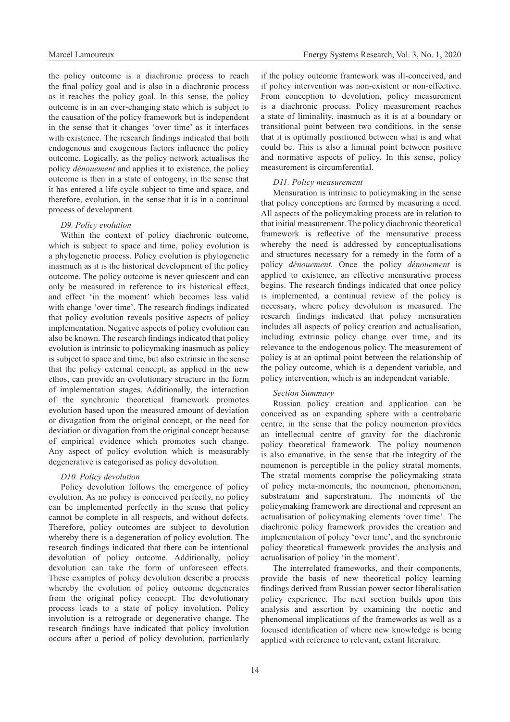the policy outcome is a diachronic process to reach the final policy goal and is also in a diachronic process as it reaches the policy goal. In this sense, the policy outcome is in an ever-changing state which is subject to the causation of the policy framework but is independent in the sense that it changes 'over time' as it interfaces with existence. The research findings indicated that both endogenous and exogenous factors influence the policy outcome. Logically, as the policy network actualises the policy *dénouement* and applies it to existence, the policy outcome is then in a state of ontogeny, in the sense that it has entered a life cycle subject to time and space, and therefore, evolution, in the sense that it is in a continual process of development.

#### *D9. Policy evolution*

Within the context of policy diachronic outcome, which is subject to space and time, policy evolution is a phylogenetic process. Policy evolution is phylogenetic inasmuch as it is the historical development of the policy outcome. The policy outcome is never quiescent and can only be measured in reference to its historical effect, and effect 'in the moment' which becomes less valid with change 'over time'. The research findings indicated that policy evolution reveals positive aspects of policy implementation. Negative aspects of policy evolution can also be known. The research findings indicated that policy evolution is intrinsic to policymaking inasmuch as policy is subject to space and time, but also extrinsic in the sense that the policy external concept, as applied in the new ethos, can provide an evolutionary structure in the form of implementation stages. Additionally, the interaction of the synchronic theoretical framework promotes evolution based upon the measured amount of deviation or divagation from the original concept, or the need for deviation or divagation from the original concept because of empirical evidence which promotes such change. Any aspect of policy evolution which is measurably degenerative is categorised as policy devolution.

## *D10. Policy devolution*

Policy devolution follows the emergence of policy evolution. As no policy is conceived perfectly, no policy can be implemented perfectly in the sense that policy cannot be complete in all respects, and without defects. Therefore, policy outcomes are subject to devolution whereby there is a degeneration of policy evolution. The research findings indicated that there can be intentional devolution of policy outcome. Additionally, policy devolution can take the form of unforeseen effects. These examples of policy devolution describe a process whereby the evolution of policy outcome degenerates from the original policy concept. The devolutionary process leads to a state of policy involution. Policy involution is a retrograde or degenerative change. The research findings have indicated that policy involution occurs after a period of policy devolution, particularly

if the policy outcome framework was ill-conceived, and if policy intervention was non-existent or non-effective. From conception to devolution, policy measurement is a diachronic process. Policy measurement reaches a state of liminality, inasmuch as it is at a boundary or transitional point between two conditions, in the sense that it is optimally positioned between what is and what could be. This is also a liminal point between positive and normative aspects of policy. In this sense, policy measurement is circumferential.

#### *D11. Policy measurement*

Mensuration is intrinsic to policymaking in the sense that policy conceptions are formed by measuring a need. All aspects of the policymaking process are in relation to that initial measurement. The policy diachronic theoretical framework is reflective of the mensurative process whereby the need is addressed by conceptualisations and structures necessary for a remedy in the form of a policy *dénouement.* Once the policy *dénouement* is applied to existence, an effective mensurative process begins. The research findings indicated that once policy is implemented, a continual review of the policy is necessary, where policy devolution is measured. The research findings indicated that policy mensuration includes all aspects of policy creation and actualisation, including extrinsic policy change over time, and its relevance to the endogenous policy. The measurement of policy is at an optimal point between the relationship of the policy outcome, which is a dependent variable, and policy intervention, which is an independent variable.

#### *Section Summary*

Russian policy creation and application can be conceived as an expanding sphere with a centrobaric centre, in the sense that the policy noumenon provides an intellectual centre of gravity for the diachronic policy theoretical framework. The policy noumenon is also emanative, in the sense that the integrity of the noumenon is perceptible in the policy stratal moments. The stratal moments comprise the policymaking strata of policy meta-moments, the noumenon, phenomenon, substratum and superstratum. The moments of the policymaking framework are directional and represent an actualisation of policymaking elements 'over time'. The diachronic policy framework provides the creation and implementation of policy 'over time', and the synchronic policy theoretical framework provides the analysis and actualisation of policy 'in the moment'.

The interrelated frameworks, and their components, provide the basis of new theoretical policy learning findings derived from Russian power sector liberalisation policy experience. The next section builds upon this analysis and assertion by examining the noetic and phenomenal implications of the frameworks as well as a focused identification of where new knowledge is being applied with reference to relevant, extant literature.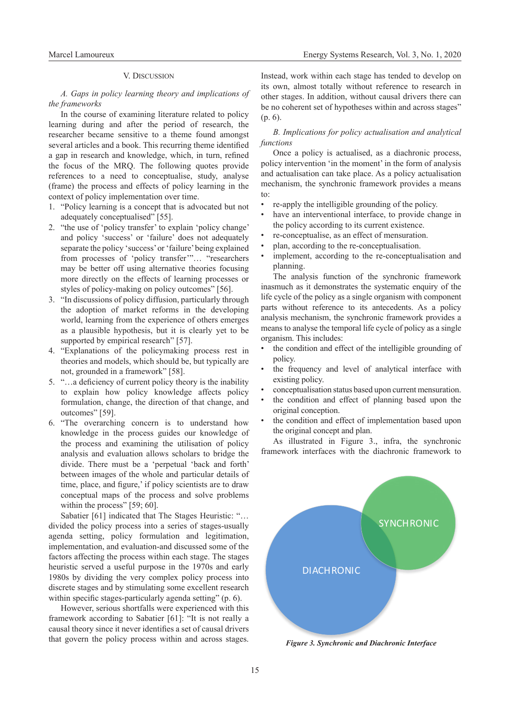#### V. Discussion

*A. Gaps in policy learning theory and implications of the frameworks*

In the course of examining literature related to policy learning during and after the period of research, the researcher became sensitive to a theme found amongst several articles and a book. This recurring theme identified a gap in research and knowledge, which, in turn, refined the focus of the MRQ. The following quotes provide references to a need to conceptualise, study, analyse (frame) the process and effects of policy learning in the context of policy implementation over time.

- 1. "Policy learning is a concept that is advocated but not adequately conceptualised" [55].
- 2. "the use of 'policy transfer' to explain 'policy change' and policy 'success' or 'failure' does not adequately separate the policy 'success' or 'failure' being explained from processes of 'policy transfer'"… "researchers may be better off using alternative theories focusing more directly on the effects of learning processes or styles of policy-making on policy outcomes" [56].
- 3. "In discussions of policy diffusion, particularly through the adoption of market reforms in the developing world, learning from the experience of others emerges as a plausible hypothesis, but it is clearly yet to be supported by empirical research" [57].
- 4. "Explanations of the policymaking process rest in theories and models, which should be, but typically are not, grounded in a framework" [58].
- 5. "…a deficiency of current policy theory is the inability to explain how policy knowledge affects policy formulation, change, the direction of that change, and outcomes" [59].
- 6. "The overarching concern is to understand how knowledge in the process guides our knowledge of the process and examining the utilisation of policy analysis and evaluation allows scholars to bridge the divide. There must be a 'perpetual 'back and forth' between images of the whole and particular details of time, place, and figure,' if policy scientists are to draw conceptual maps of the process and solve problems within the process" [59; 60].

Sabatier [61] indicated that The Stages Heuristic: "… divided the policy process into a series of stages-usually agenda setting, policy formulation and legitimation, implementation, and evaluation-and discussed some of the factors affecting the process within each stage. The stages heuristic served a useful purpose in the 1970s and early 1980s by dividing the very complex policy process into discrete stages and by stimulating some excellent research within specific stages-particularly agenda setting" (p. 6).

However, serious shortfalls were experienced with this framework according to Sabatier [61]: "It is not really a causal theory since it never identifies a set of causal drivers that govern the policy process within and across stages.

Instead, work within each stage has tended to develop on its own, almost totally without reference to research in other stages. In addition, without causal drivers there can be no coherent set of hypotheses within and across stages" (p. 6).

# *B. Implications for policy actualisation and analytical functions*

Once a policy is actualised, as a diachronic process, policy intervention 'in the moment' in the form of analysis and actualisation can take place. As a policy actualisation mechanism, the synchronic framework provides a means to:

- re-apply the intelligible grounding of the policy.
- have an interventional interface, to provide change in the policy according to its current existence.
- re-conceptualise, as an effect of mensuration.
- plan, according to the re-conceptualisation.
- implement, according to the re-conceptualisation and planning.

The analysis function of the synchronic framework inasmuch as it demonstrates the systematic enquiry of the life cycle of the policy as a single organism with component parts without reference to its antecedents. As a policy analysis mechanism, the synchronic framework provides a means to analyse the temporal life cycle of policy as a single organism. This includes:

- the condition and effect of the intelligible grounding of policy.
- the frequency and level of analytical interface with existing policy.
- conceptualisation status based upon current mensuration.
- the condition and effect of planning based upon the original conception.
- the condition and effect of implementation based upon the original concept and plan.

As illustrated in Figure 3., infra, the synchronic framework interfaces with the diachronic framework to



*Figure 3. Synchronic and Diachronic Interface*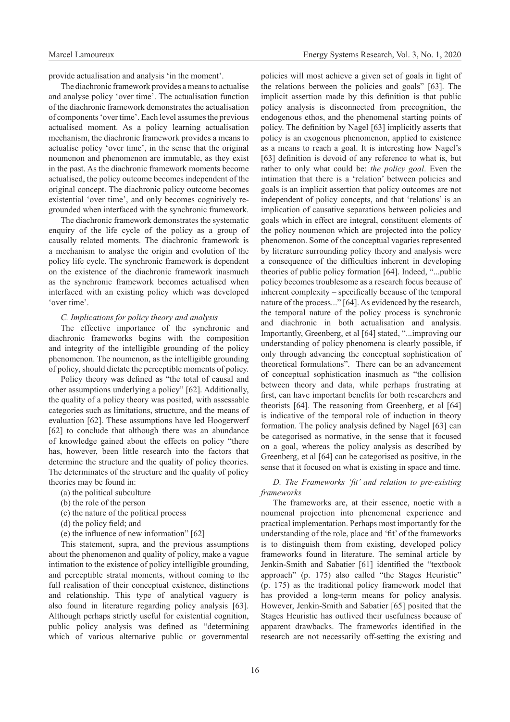provide actualisation and analysis 'in the moment'.

The diachronic framework provides a means to actualise and analyse policy 'over time'. The actualisation function of the diachronic framework demonstrates the actualisation of components 'over time'. Each level assumes the previous actualised moment. As a policy learning actualisation mechanism, the diachronic framework provides a means to actualise policy 'over time', in the sense that the original noumenon and phenomenon are immutable, as they exist in the past. As the diachronic framework moments become actualised, the policy outcome becomes independent of the original concept. The diachronic policy outcome becomes existential 'over time', and only becomes cognitively regrounded when interfaced with the synchronic framework.

The diachronic framework demonstrates the systematic enquiry of the life cycle of the policy as a group of causally related moments. The diachronic framework is a mechanism to analyse the origin and evolution of the policy life cycle. The synchronic framework is dependent on the existence of the diachronic framework inasmuch as the synchronic framework becomes actualised when interfaced with an existing policy which was developed 'over time'.

#### *C. Implications for policy theory and analysis*

The effective importance of the synchronic and diachronic frameworks begins with the composition and integrity of the intelligible grounding of the policy phenomenon. The noumenon, as the intelligible grounding of policy, should dictate the perceptible moments of policy.

Policy theory was defined as "the total of causal and other assumptions underlying a policy" [62]. Additionally, the quality of a policy theory was posited, with assessable categories such as limitations, structure, and the means of evaluation [62]. These assumptions have led Hoogerwerf [62] to conclude that although there was an abundance of knowledge gained about the effects on policy "there has, however, been little research into the factors that determine the structure and the quality of policy theories. The determinates of the structure and the quality of policy theories may be found in:

- (a) the political subculture
- (b) the role of the person
- (c) the nature of the political process
- (d) the policy field; and
- (e) the influence of new information" [62]

This statement, supra, and the previous assumptions about the phenomenon and quality of policy, make a vague intimation to the existence of policy intelligible grounding, and perceptible stratal moments, without coming to the full realisation of their conceptual existence, distinctions and relationship. This type of analytical vaguery is also found in literature regarding policy analysis [63]. Although perhaps strictly useful for existential cognition, public policy analysis was defined as "determining which of various alternative public or governmental

policies will most achieve a given set of goals in light of the relations between the policies and goals" [63]. The implicit assertion made by this definition is that public policy analysis is disconnected from precognition, the endogenous ethos, and the phenomenal starting points of policy. The definition by Nagel [63] implicitly asserts that policy is an exogenous phenomenon, applied to existence as a means to reach a goal. It is interesting how Nagel's [63] definition is devoid of any reference to what is, but rather to only what could be: *the policy goal*. Even the intimation that there is a 'relation' between policies and goals is an implicit assertion that policy outcomes are not independent of policy concepts, and that 'relations' is an implication of causative separations between policies and goals which in effect are integral, constituent elements of the policy noumenon which are projected into the policy phenomenon. Some of the conceptual vagaries represented by literature surrounding policy theory and analysis were a consequence of the difficulties inherent in developing theories of public policy formation [64]. Indeed, "...public policy becomes troublesome as a research focus because of inherent complexity – specifically because of the temporal nature of the process..." [64]. As evidenced by the research, the temporal nature of the policy process is synchronic and diachronic in both actualisation and analysis. Importantly, Greenberg, et al [64] stated, "...improving our understanding of policy phenomena is clearly possible, if only through advancing the conceptual sophistication of theoretical formulations". There can be an advancement of conceptual sophistication inasmuch as "the collision between theory and data, while perhaps frustrating at first, can have important benefits for both researchers and theorists [64]. The reasoning from Greenberg, et al [64] is indicative of the temporal role of induction in theory formation. The policy analysis defined by Nagel [63] can be categorised as normative, in the sense that it focused on a goal, whereas the policy analysis as described by Greenberg, et al [64] can be categorised as positive, in the sense that it focused on what is existing in space and time.

## *D. The Frameworks 'fit' and relation to pre-existing frameworks*

The frameworks are, at their essence, noetic with a noumenal projection into phenomenal experience and practical implementation. Perhaps most importantly for the understanding of the role, place and 'fit' of the frameworks is to distinguish them from existing, developed policy frameworks found in literature. The seminal article by Jenkin-Smith and Sabatier [61] identified the "textbook approach" (p. 175) also called "the Stages Heuristic" (p. 175) as the traditional policy framework model that has provided a long-term means for policy analysis. However, Jenkin-Smith and Sabatier [65] posited that the Stages Heuristic has outlived their usefulness because of apparent drawbacks. The frameworks identified in the research are not necessarily off-setting the existing and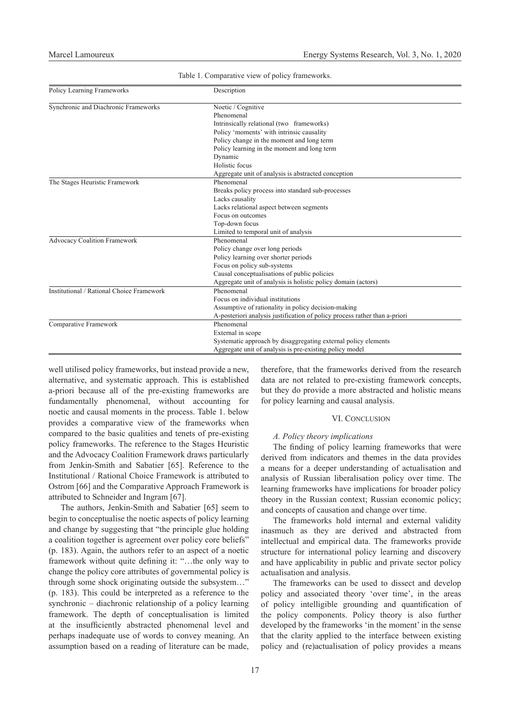| Policy Learning Frameworks                | Description                                                                |
|-------------------------------------------|----------------------------------------------------------------------------|
| Synchronic and Diachronic Frameworks      | Noetic / Cognitive                                                         |
|                                           | Phenomenal                                                                 |
|                                           | Intrinsically relational (two frameworks)                                  |
|                                           | Policy 'moments' with intrinsic causality                                  |
|                                           | Policy change in the moment and long term                                  |
|                                           | Policy learning in the moment and long term                                |
|                                           | Dynamic                                                                    |
|                                           | Holistic focus                                                             |
|                                           | Aggregate unit of analysis is abstracted conception                        |
| The Stages Heuristic Framework            | Phenomenal                                                                 |
|                                           | Breaks policy process into standard sub-processes                          |
|                                           | Lacks causality                                                            |
|                                           | Lacks relational aspect between segments                                   |
|                                           | Focus on outcomes                                                          |
|                                           | Top-down focus                                                             |
|                                           | Limited to temporal unit of analysis                                       |
| <b>Advocacy Coalition Framework</b>       | Phenomenal                                                                 |
|                                           | Policy change over long periods                                            |
|                                           | Policy learning over shorter periods                                       |
|                                           | Focus on policy sub-systems                                                |
|                                           | Causal conceptualisations of public policies                               |
|                                           | Aggregate unit of analysis is holistic policy domain (actors)              |
| Institutional / Rational Choice Framework | Phenomenal                                                                 |
|                                           | Focus on individual institutions                                           |
|                                           | Assumptive of rationality in policy decision-making                        |
|                                           | A-posteriori analysis justification of policy process rather than a-priori |
| Comparative Framework                     | Phenomenal                                                                 |
|                                           | External in scope                                                          |
|                                           | Systematic approach by disaggregating external policy elements             |
|                                           | Aggregate unit of analysis is pre-existing policy model                    |

Table 1. Comparative view of policy frameworks.

well utilised policy frameworks, but instead provide a new, alternative, and systematic approach. This is established a-priori because all of the pre-existing frameworks are fundamentally phenomenal, without accounting for noetic and causal moments in the process. Table 1. below provides a comparative view of the frameworks when compared to the basic qualities and tenets of pre-existing policy frameworks. The reference to the Stages Heuristic and the Advocacy Coalition Framework draws particularly from Jenkin-Smith and Sabatier [65]. Reference to the Institutional / Rational Choice Framework is attributed to Ostrom [66] and the Comparative Approach Framework is attributed to Schneider and Ingram [67].

The authors, Jenkin-Smith and Sabatier [65] seem to begin to conceptualise the noetic aspects of policy learning and change by suggesting that "the principle glue holding a coalition together is agreement over policy core beliefs" (p. 183). Again, the authors refer to an aspect of a noetic framework without quite defining it: "…the only way to change the policy core attributes of governmental policy is through some shock originating outside the subsystem…" (p. 183). This could be interpreted as a reference to the synchronic – diachronic relationship of a policy learning framework. The depth of conceptualisation is limited at the insufficiently abstracted phenomenal level and perhaps inadequate use of words to convey meaning. An assumption based on a reading of literature can be made, therefore, that the frameworks derived from the research data are not related to pre-existing framework concepts, but they do provide a more abstracted and holistic means for policy learning and causal analysis.

# VI. CONCLUSION

## *A. Policy theory implications*

The finding of policy learning frameworks that were derived from indicators and themes in the data provides a means for a deeper understanding of actualisation and analysis of Russian liberalisation policy over time. The learning frameworks have implications for broader policy theory in the Russian context; Russian economic policy; and concepts of causation and change over time.

The frameworks hold internal and external validity inasmuch as they are derived and abstracted from intellectual and empirical data. The frameworks provide structure for international policy learning and discovery and have applicability in public and private sector policy actualisation and analysis.

The frameworks can be used to dissect and develop policy and associated theory 'over time', in the areas of policy intelligible grounding and quantification of the policy components. Policy theory is also further developed by the frameworks 'in the moment' in the sense that the clarity applied to the interface between existing policy and (re)actualisation of policy provides a means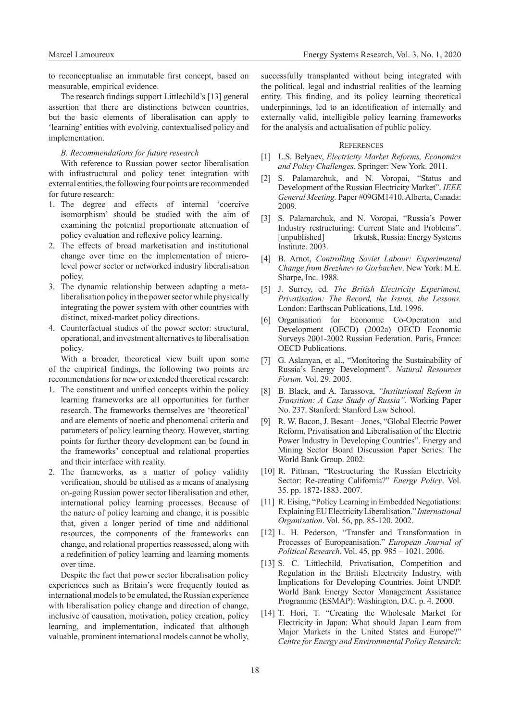to reconceptualise an immutable first concept, based on measurable, empirical evidence.

The research findings support Littlechild's [13] general assertion that there are distinctions between countries, but the basic elements of liberalisation can apply to 'learning' entities with evolving, contextualised policy and implementation.

#### *B. Recommendations for future research*

With reference to Russian power sector liberalisation with infrastructural and policy tenet integration with external entities, the following four points are recommended for future research:

- 1. The degree and effects of internal 'coercive isomorphism' should be studied with the aim of examining the potential proportionate attenuation of policy evaluation and reflexive policy learning.
- 2. The effects of broad marketisation and institutional change over time on the implementation of microlevel power sector or networked industry liberalisation policy.
- 3. The dynamic relationship between adapting a metaliberalisation policy in the power sector while physically integrating the power system with other countries with distinct, mixed-market policy directions.
- 4. Counterfactual studies of the power sector: structural, operational, and investment alternatives to liberalisation policy.

With a broader, theoretical view built upon some of the empirical findings, the following two points are recommendations for new or extended theoretical research:

- 1. The constituent and unified concepts within the policy learning frameworks are all opportunities for further research. The frameworks themselves are 'theoretical' and are elements of noetic and phenomenal criteria and parameters of policy learning theory. However, starting points for further theory development can be found in the frameworks' conceptual and relational properties and their interface with reality.
- 2. The frameworks, as a matter of policy validity verification, should be utilised as a means of analysing on-going Russian power sector liberalisation and other, international policy learning processes. Because of the nature of policy learning and change, it is possible that, given a longer period of time and additional resources, the components of the frameworks can change, and relational properties reassessed, along with a redefinition of policy learning and learning moments over time.

Despite the fact that power sector liberalisation policy experiences such as Britain's were frequently touted as international models to be emulated, the Russian experience with liberalisation policy change and direction of change, inclusive of causation, motivation, policy creation, policy learning, and implementation, indicated that although valuable, prominent international models cannot be wholly, successfully transplanted without being integrated with the political, legal and industrial realities of the learning entity. This finding, and its policy learning theoretical underpinnings, led to an identification of internally and externally valid, intelligible policy learning frameworks for the analysis and actualisation of public policy.

# **REFERENCES**

- [1] L.S. Belyaev, *Electricity Market Reforms, Economics and Policy Challenges*. Springer: New York. 2011.
- [2] S. Palamarchuk, and N. Voropai, "Status and Development of the Russian Electricity Market". *IEEE General Meeting.* Paper #09GM1410. Alberta, Canada: 2009.
- [3] S. Palamarchuk, and N. Voropai, "Russia's Power Industry restructuring: Current State and Problems". [unpublished] Irkutsk, Russia: Energy Systems Institute. 2003.
- [4] B. Arnot, *Controlling Soviet Labour: Experimental Change from Brezhnev to Gorbachev*. New York: M.E. Sharpe, Inc. 1988.
- [5] J. Surrey, ed. *The British Electricity Experiment, Privatisation: The Record, the Issues, the Lessons.*  London: Earthscan Publications, Ltd. 1996.
- [6] Organisation for Economic Co-Operation and Development (OECD) (2002a) OECD Economic Surveys 2001-2002 Russian Federation. Paris, France: OECD Publications.
- [7] G. Aslanyan, et al., "Monitoring the Sustainability of Russia's Energy Development". *Natural Resources Forum.* Vol. 29. 2005.
- [8] B. Black, and A. Tarassova, *"Institutional Reform in Transition: A Case Study of Russia".* Working Paper No. 237. Stanford: Stanford Law School.
- [9] R. W. Bacon, J. Besant Jones, "Global Electric Power Reform, Privatisation and Liberalisation of the Electric Power Industry in Developing Countries". Energy and Mining Sector Board Discussion Paper Series: The World Bank Group. 2002.
- [10] R. Pittman, "Restructuring the Russian Electricity Sector: Re-creating California?" *Energy Policy*. Vol. 35. pp. 1872-1883. 2007.
- [11] R. Eising, "Policy Learning in Embedded Negotiations: Explaining EU Electricity Liberalisation." *International Organisation*. Vol. 56, pp. 85-120. 2002.
- [12] L. H. Pederson, "Transfer and Transformation in Processes of Europeanisation." *European Journal of Political Research*. Vol. 45, pp. 985 – 1021. 2006.
- [13] S. C. Littlechild, Privatisation, Competition and Regulation in the British Electricity Industry, with Implications for Developing Countries. Joint UNDP. World Bank Energy Sector Management Assistance Programme (ESMAP): Washington, D.C. p. 4. 2000.
- [14] T. Hori, T. "Creating the Wholesale Market for Electricity in Japan: What should Japan Learn from Major Markets in the United States and Europe?" *Centre for Energy and Environmental Policy Research*: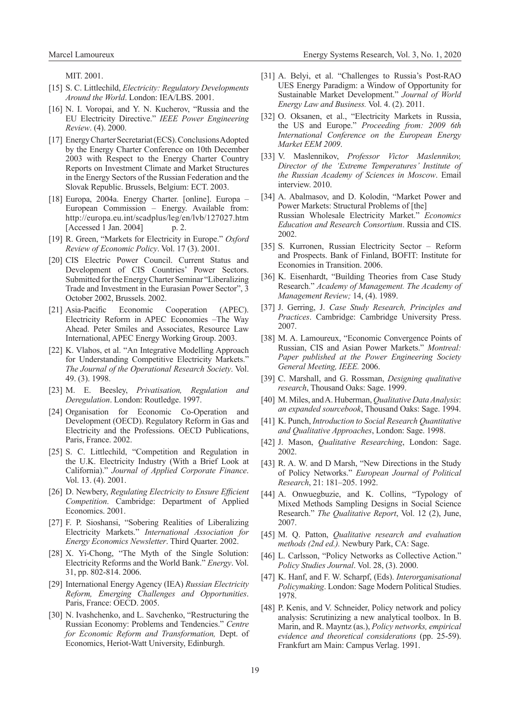MIT. 2001.

- [15] S. C. Littlechild, *Electricity: Regulatory Developments Around the World*. London: IEA/LBS. 2001.
- [16] N. I. Voropai, and Y. N. Kucherov, "Russia and the EU Electricity Directive." *IEEE Power Engineering Review*. (4). 2000.
- [17] Energy Charter Secretariat (ECS). Conclusions Adopted by the Energy Charter Conference on 10th December 2003 with Respect to the Energy Charter Country Reports on Investment Climate and Market Structures in the Energy Sectors of the Russian Federation and the Slovak Republic. Brussels, Belgium: ECT. 2003.
- [18] Europa, 2004a. Energy Charter. [online]. Europa European Commission – Energy. Available from: http://europa.eu.int/scadplus/leg/en/lvb/127027.htm  $[Accessed 1 Jan. 2004]$  p. 2.
- [19] R. Green, "Markets for Electricity in Europe." *Oxford Review of Economic Policy*. Vol. 17 (3). 2001.
- [20] CIS Electric Power Council. Current Status and Development of CIS Countries' Power Sectors. Submitted for the Energy Charter Seminar "Liberalizing Trade and Investment in the Eurasian Power Sector", 3 October 2002, Brussels. 2002.
- [21] Asia-Pacific Economic Cooperation (APEC). Electricity Reform in APEC Economies –The Way Ahead. Peter Smiles and Associates, Resource Law International, APEC Energy Working Group. 2003.
- [22] K. Vlahos, et al. "An Integrative Modelling Approach for Understanding Competitive Electricity Markets." *The Journal of the Operational Research Society*. Vol. 49. (3). 1998.
- [23] M. E. Beesley, *Privatisation, Regulation and Deregulation*. London: Routledge. 1997.
- [24] Organisation for Economic Co-Operation and Development (OECD). Regulatory Reform in Gas and Electricity and the Professions. OECD Publications, Paris, France. 2002.
- [25] S. C. Littlechild, "Competition and Regulation in the U.K. Electricity Industry (With a Brief Look at California)." *Journal of Applied Corporate Finance*. Vol. 13. (4). 2001.
- [26] D. Newbery, *Regulating Electricity to Ensure Efficient Competition*. Cambridge: Department of Applied Economics. 2001.
- [27] F. P. Sioshansi, "Sobering Realities of Liberalizing Electricity Markets." *International Association for Energy Economics Newsletter*. Third Quarter. 2002.
- [28] X. Yi-Chong, "The Myth of the Single Solution: Electricity Reforms and the World Bank." *Energy*. Vol. 31, pp. 802-814. 2006.
- [29] International Energy Agency (IEA) *Russian Electricity Reform, Emerging Challenges and Opportunities*. Paris, France: OECD. 2005.
- [30] N. Ivashchenko, and L. Savchenko, "Restructuring the Russian Economy: Problems and Tendencies." *Centre for Economic Reform and Transformation,* Dept. of Economics, Heriot-Watt University, Edinburgh.
- [31] A. Belyi, et al. "Challenges to Russia's Post-RAO UES Energy Paradigm: a Window of Opportunity for Sustainable Market Development." *Journal of World Energy Law and Business.* Vol. 4. (2). 2011.
- [32] O. Oksanen, et al., "Electricity Markets in Russia, the US and Europe." *Proceeding from: 2009 6th International Conference on the European Energy Market EEM 2009*.
- [33] V. Maslennikov, *Professor Victor Maslennikov, Director of the 'Extreme Temperatures' Institute of the Russian Academy of Sciences in Moscow*. Email interview. 2010.
- [34] A. Abalmasov, and D. Kolodin, "Market Power and Power Markets: Structural Problems of [the] Russian Wholesale Electricity Market." *Economics Education and Research Consortium*. Russia and CIS. 2002.
- [35] S. Kurronen, Russian Electricity Sector Reform and Prospects. Bank of Finland, BOFIT: Institute for Economies in Transition. 2006.
- [36] K. Eisenhardt, "Building Theories from Case Study Research." *Academy of Management. The Academy of Management Review;* 14, (4). 1989.
- [37] J. Gerring, J. *Case Study Research, Principles and Practices*. Cambridge: Cambridge University Press. 2007.
- [38] M. A. Lamoureux, "Economic Convergence Points of Russian, CIS and Asian Power Markets." *Montreal: Paper published at the Power Engineering Society General Meeting, IEEE.* 2006.
- [39] C. Marshall, and G. Rossman, *Designing qualitative research*, Thousand Oaks: Sage. 1999.
- [40] M. Miles, and A. Huberman, *Qualitative Data Analysis*: *an expanded sourcebook*, Thousand Oaks: Sage. 1994.
- [41] K. Punch, *Introduction to Social Research Quantitative and Qualitative Approaches*, London: Sage. 1998.
- [42] J. Mason, *Qualitative Researching*, London: Sage. 2002.
- [43] R. A. W. and D Marsh, "New Directions in the Study of Policy Networks." *European Journal of Political Research*, 21: 181–205. 1992.
- [44] A. Onwuegbuzie, and K. Collins, "Typology of Mixed Methods Sampling Designs in Social Science Research." *The Qualitative Report*, Vol. 12 (2), June, 2007.
- [45] M. Q. Patton, *Qualitative research and evaluation methods (2nd ed.).* Newbury Park, CA: Sage.
- [46] L. Carlsson, "Policy Networks as Collective Action." *Policy Studies Journal*. Vol. 28, (3). 2000.
- [47] K. Hanf, and F. W. Scharpf, (Eds). *Interorganisational Policymaking*. London: Sage Modern Political Studies. 1978.
- [48] P. Kenis, and V. Schneider, Policy network and policy analysis: Scrutinizing a new analytical toolbox. In B. Marin, and R. Mayntz (as.), *Policy networks, empirical evidence and theoretical considerations* (pp. 25-59). Frankfurt am Main: Campus Verlag. 1991.